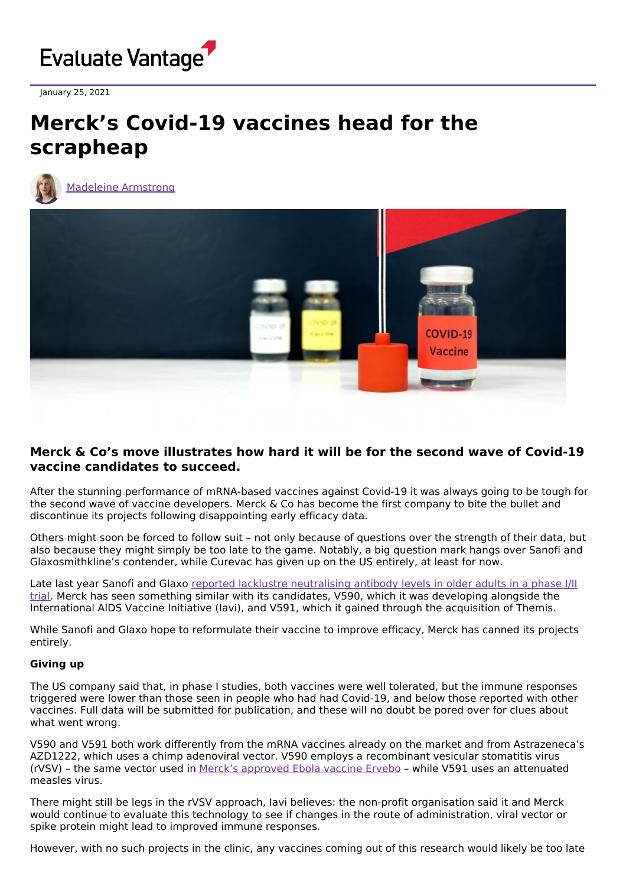

January 25, 2021

# **Merck's Covid-19 vaccines head for the scrapheap**



Madeleine [Armstrong](https://www.evaluate.com/vantage/editorial-team/madeleine-armstrong)



## **Merck & Co's move illustrates how hard it will be for the second wave of Covid-19 vaccine candidates to succeed.**

After the stunning performance of mRNA-based vaccines against Covid-19 it was always going to be tough for the second wave of vaccine developers. Merck & Co has become the first company to bite the bullet and discontinue its projects following disappointing early efficacy data.

Others might soon be forced to follow suit – not only because of questions over the strength of their data, but also because they might simply be too late to the game. Notably, a big question mark hangs over Sanofi and Glaxosmithkline's contender, while Curevac has given up on the US entirely, at least for now.

Late last year Sanofi and Glaxo reported lacklustre [neutralising](https://www.evaluate.com/vantage/articles/news/policy-and-regulation/covid-19-vaccine-developers-remind-world-setbacks) antibody levels in older adults in a phase I/II trial. Merck has seen something similar with its candidates, V590, which it was developing alongside the International AIDS Vaccine Initiative (Iavi), and V591, which it gained through the acquisition of Themis.

While Sanofi and Glaxo hope to reformulate their vaccine to improve efficacy, Merck has canned its projects entirely.

### **Giving up**

The US company said that, in phase I studies, both vaccines were well tolerated, but the immune responses triggered were lower than those seen in people who had had Covid-19, and below those reported with other vaccines. Full data will be submitted for publication, and these will no doubt be pored over for clues about what went wrong.

V590 and V591 both work differently from the mRNA vaccines already on the market and from Astrazeneca's AZD1222, which uses a chimp adenoviral vector. V590 employs a recombinant vesicular stomatitis virus (rVSV) – the same vector used in Merck's [approved](https://www.fda.gov/news-events/press-announcements/first-fda-approved-vaccine-prevention-ebola-virus-disease-marking-critical-milestone-public-health) Ebola vaccine Ervebo – while V591 uses an attenuated measles virus.

There might still be legs in the rVSV approach, Iavi believes: the non-profit organisation said it and Merck would continue to evaluate this technology to see if changes in the route of administration, viral vector or spike protein might lead to improved immune responses.

However, with no such projects in the clinic, any vaccines coming out of this research would likely be too late